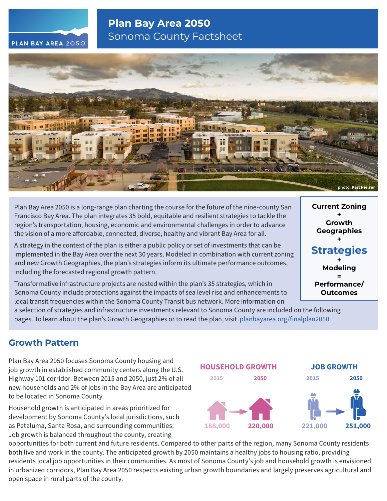# **Plan Bay Area 2050** Sonoma County Factsheet



Plan Bay Area 2050 is a long-range plan charting the course for the future of the nine-county San Francisco Bay Area. The plan integrates 35 bold, equitable and resilient strategies to tackle the region's transportation, housing, economic and environmental challenges in order to advance the vision of a more affordable, connected, diverse, healthy and vibrant Bay Area for all.

A strategy in the context of the plan is either a public policy or set of investments that can be implemented in the Bay Area over the next 30 years. Modeled in combination with current zoning and new Growth Geographies, the plan's strategies inform its ultimate performance outcomes, including the forecasted regional growth pattern.

Transformative infrastructure projects are nested within the plan's 35 strategies, which in Sonoma County include protections against the impacts of sea level rise and enhancements to local transit frequencies within the Sonoma County Transit bus network. More information on

a selection of strategies and infrastructure investments relevant to Sonoma County are included on the following

pages. To learn about the plan's Growth Geographies or to read the plan, visit [planbayarea.org/finalplan2050.](https://www.planbayarea.org/finalplan2050)

# **Growth Pattern**

Plan Bay Area 2050 focuses Sonoma County housing and job growth in established community centers along the U.S. Highway 101 corridor. Between 2015 and 2050, just 2% of all new households and 2% of jobs in the Bay Area are anticipated to be located in Sonoma County.

Household growth is anticipated in areas prioritized for development by Sonoma County's local jurisdictions, such as Petaluma, Santa Rosa, and surrounding communities. Job growth is balanced throughout the county, creating



opportunities for both current and future residents. Compared to other parts of the region, many Sonoma County residents both live and work in the county. The anticipated growth by 2050 maintains a healthy jobs to housing ratio, providing residents local job opportunities in their communities. As most of Sonoma County's job and household growth is envisioned in urbanized corridors, Plan Bay Area 2050 respects existing urban growth boundaries and largely preserves agricultural and open space in rural parts of the county.

**Current Zoning + Growth Geographies + Strategies**

**+ Modeling = Performance/ Outcomes**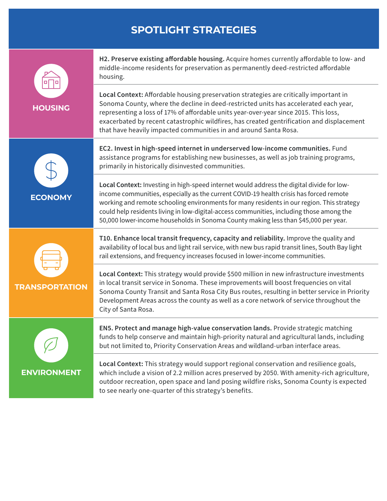# **SPOTLIGHT STRATEGIES**